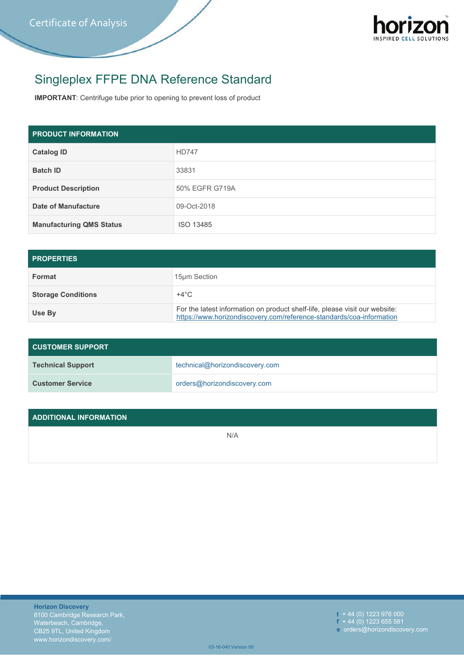

## Singleplex FFPE DNA Reference Standard

**IMPORTANT**: Centrifuge tube prior to opening to prevent loss of product

| <b>PRODUCT INFORMATION</b>      |                |
|---------------------------------|----------------|
| <b>Catalog ID</b>               | <b>HD747</b>   |
| <b>Batch ID</b>                 | 33831          |
| <b>Product Description</b>      | 50% EGFR G719A |
| Date of Manufacture             | 09-Oct-2018    |
| <b>Manufacturing QMS Status</b> | ISO 13485      |

| <b>PROPERTIES</b>         |                                                                                                                                                     |  |
|---------------------------|-----------------------------------------------------------------------------------------------------------------------------------------------------|--|
| Format                    | 15um Section                                                                                                                                        |  |
| <b>Storage Conditions</b> | $+4^{\circ}$ C                                                                                                                                      |  |
| Use By                    | For the latest information on product shelf-life, please visit our website:<br>https://www.horizondiscovery.com/reference-standards/coa-information |  |

| <b>CUSTOMER SUPPORT</b>  |                                |  |
|--------------------------|--------------------------------|--|
| <b>Technical Support</b> | technical@horizondiscovery.com |  |
| <b>Customer Service</b>  | orders@horizondiscovery.com    |  |

| ADDITIONAL INFORMATION |     |
|------------------------|-----|
|                        | N/A |
|                        |     |

**t** + 44 (0) 1223 976 000 **f** + 44 (0) 1223 655 581 **e** orders@horizondiscovery.com